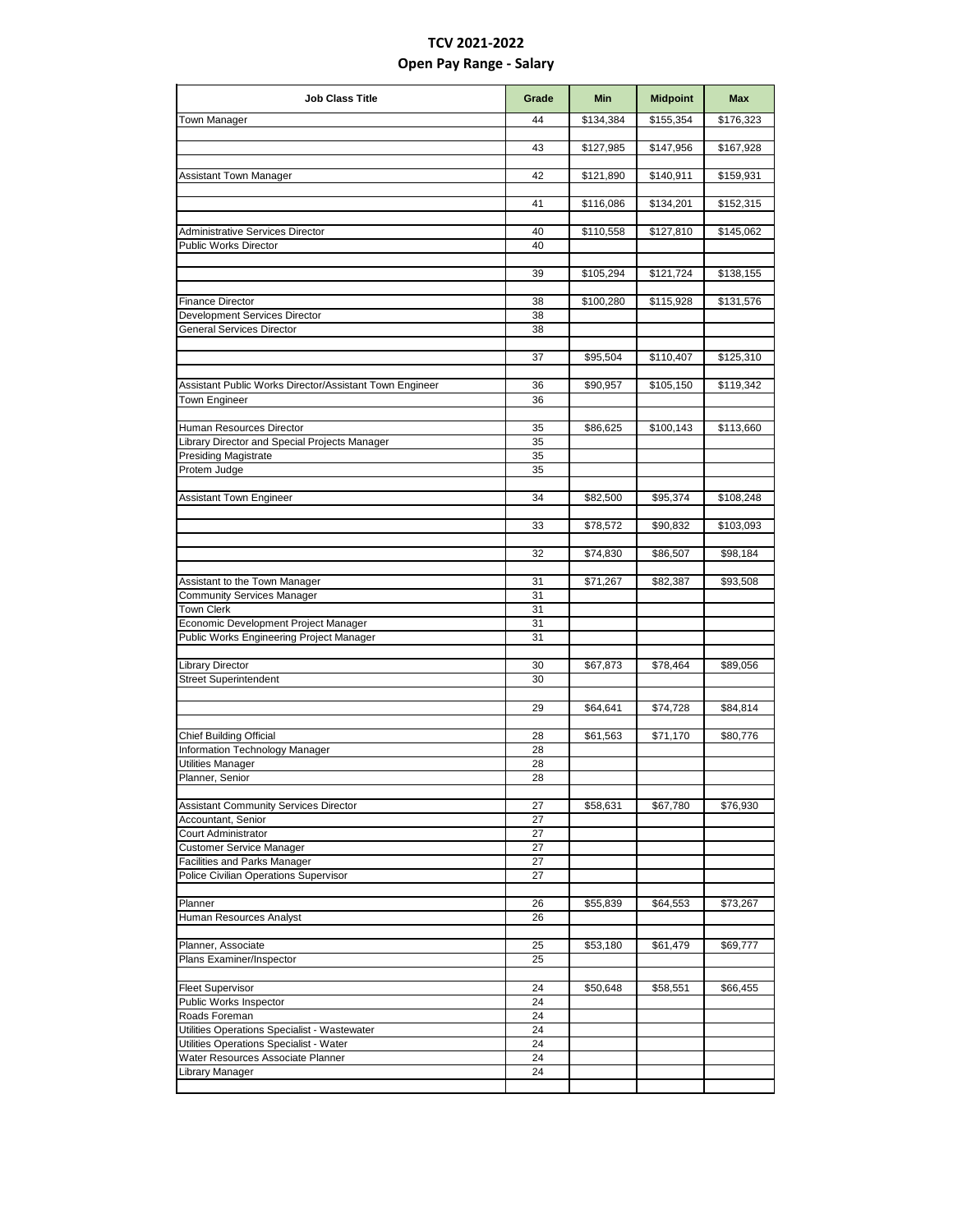## **TCV 2021-2022 Open Pay Range - Salary**

| <b>Job Class Title</b>                                                       | Grade    | <b>Min</b> | <b>Midpoint</b> | <b>Max</b> |
|------------------------------------------------------------------------------|----------|------------|-----------------|------------|
| Town Manager                                                                 | 44       | \$134,384  | \$155,354       | \$176,323  |
|                                                                              | 43       | \$127,985  | \$147,956       | \$167,928  |
| Assistant Town Manager                                                       | 42       | \$121,890  | \$140,911       | \$159,931  |
|                                                                              | 41       |            |                 |            |
|                                                                              |          | \$116,086  | \$134,201       | \$152,315  |
| <b>Administrative Services Director</b>                                      | 40       | \$110,558  | \$127,810       | \$145,062  |
| <b>Public Works Director</b>                                                 | 40       |            |                 |            |
|                                                                              | 39       | \$105,294  | \$121,724       | \$138,155  |
| <b>Finance Director</b>                                                      | 38       | \$100,280  | \$115,928       | \$131,576  |
| Development Services Director                                                | 38       |            |                 |            |
| <b>General Services Director</b>                                             | 38       |            |                 |            |
|                                                                              | 37       | \$95,504   | \$110,407       | \$125,310  |
|                                                                              |          |            |                 |            |
| Assistant Public Works Director/Assistant Town Engineer<br>Town Engineer     | 36<br>36 | \$90,957   | \$105,150       | \$119,342  |
|                                                                              |          |            |                 |            |
| Human Resources Director                                                     | 35<br>35 | \$86,625   | \$100,143       | \$113,660  |
| Library Director and Special Projects Manager<br><b>Presiding Magistrate</b> | 35       |            |                 |            |
| Protem Judge                                                                 | 35       |            |                 |            |
| Assistant Town Engineer                                                      | 34       | \$82,500   | \$95,374        | \$108,248  |
|                                                                              |          |            |                 |            |
|                                                                              | 33       | \$78,572   | \$90,832        | \$103,093  |
|                                                                              | 32       | \$74,830   | \$86,507        | \$98,184   |
|                                                                              |          |            |                 |            |
| Assistant to the Town Manager<br><b>Community Services Manager</b>           | 31<br>31 | \$71,267   | \$82,387        | \$93,508   |
| <b>Town Clerk</b>                                                            | 31       |            |                 |            |
| Economic Development Project Manager                                         | 31       |            |                 |            |
| Public Works Engineering Project Manager                                     | 31       |            |                 |            |
| <b>Library Director</b>                                                      | 30       | \$67,873   | \$78,464        | \$89,056   |
| <b>Street Superintendent</b>                                                 | 30       |            |                 |            |
|                                                                              | 29       | \$64,641   | \$74,728        | \$84,814   |
|                                                                              |          |            |                 |            |
| <b>Chief Building Official</b><br>Information Technology Manager             | 28<br>28 | \$61,563   | \$71,170        | \$80,776   |
| <b>Utilities Manager</b>                                                     | 28       |            |                 |            |
| Planner, Senior                                                              | 28       |            |                 |            |
| <b>Assistant Community Services Director</b>                                 | 27       | \$58,631   | \$67,780        | \$76,930   |
| Accountant, Senior                                                           | 27       |            |                 |            |
| Court Administrator                                                          | 27       |            |                 |            |
| <b>Customer Service Manager</b>                                              | 27       |            |                 |            |
| Facilities and Parks Manager                                                 | 27<br>27 |            |                 |            |
| Police Civilian Operations Supervisor                                        |          |            |                 |            |
| Planner                                                                      | 26       | \$55,839   | \$64,553        | \$73,267   |
| Human Resources Analyst                                                      | 26       |            |                 |            |
| Planner, Associate                                                           | 25       | \$53,180   | \$61,479        | \$69,777   |
| Plans Examiner/Inspector                                                     | 25       |            |                 |            |
| <b>Fleet Supervisor</b>                                                      | 24       | \$50,648   | \$58,551        | \$66,455   |
| Public Works Inspector                                                       | 24       |            |                 |            |
| Roads Foreman                                                                | 24       |            |                 |            |
| Utilities Operations Specialist - Wastewater                                 | 24       |            |                 |            |
| Utilities Operations Specialist - Water<br>Water Resources Associate Planner | 24<br>24 |            |                 |            |
| Library Manager                                                              | 24       |            |                 |            |
|                                                                              |          |            |                 |            |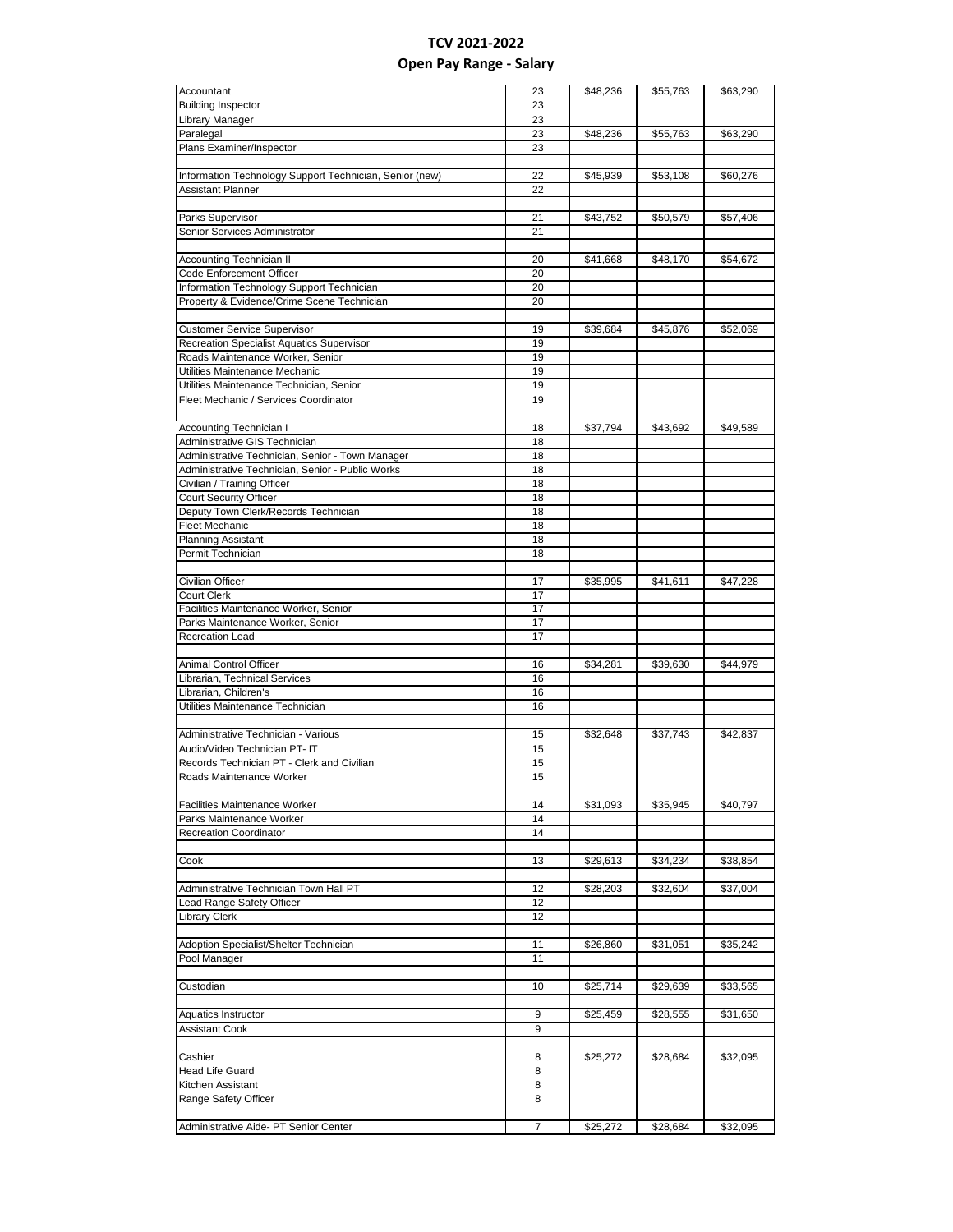## **TCV 2021-2022 Open Pay Range - Salary**

| Accountant                                              | 23 | \$48,236 | \$55,763 | \$63,290 |
|---------------------------------------------------------|----|----------|----------|----------|
| <b>Building Inspector</b>                               | 23 |          |          |          |
| Library Manager                                         | 23 |          |          |          |
| Paralegal                                               | 23 | \$48,236 | \$55,763 | \$63,290 |
| Plans Examiner/Inspector                                | 23 |          |          |          |
|                                                         |    |          |          |          |
|                                                         |    |          |          |          |
| Information Technology Support Technician, Senior (new) | 22 | \$45,939 | \$53,108 | \$60,276 |
| Assistant Planner                                       | 22 |          |          |          |
|                                                         |    |          |          |          |
| Parks Supervisor                                        | 21 | \$43,752 | \$50,579 | \$57,406 |
| Senior Services Administrator                           | 21 |          |          |          |
|                                                         |    |          |          |          |
| Accounting Technician II                                | 20 | \$41,668 | \$48,170 | \$54,672 |
| Code Enforcement Officer                                | 20 |          |          |          |
| Information Technology Support Technician               | 20 |          |          |          |
| Property & Evidence/Crime Scene Technician              | 20 |          |          |          |
|                                                         |    |          |          |          |
| <b>Customer Service Supervisor</b>                      | 19 | \$39,684 | \$45,876 | \$52,069 |
| <b>Recreation Specialist Aquatics Supervisor</b>        | 19 |          |          |          |
| Roads Maintenance Worker, Senior                        | 19 |          |          |          |
| Utilities Maintenance Mechanic                          | 19 |          |          |          |
| Utilities Maintenance Technician, Senior                | 19 |          |          |          |
| Fleet Mechanic / Services Coordinator                   | 19 |          |          |          |
|                                                         |    |          |          |          |
| Accounting Technician I                                 | 18 | \$37,794 | \$43,692 | \$49,589 |
| Administrative GIS Technician                           | 18 |          |          |          |
|                                                         |    |          |          |          |
| Administrative Technician, Senior - Town Manager        | 18 |          |          |          |
| Administrative Technician, Senior - Public Works        | 18 |          |          |          |
| Civilian / Training Officer                             | 18 |          |          |          |
| <b>Court Security Officer</b>                           | 18 |          |          |          |
| Deputy Town Clerk/Records Technician                    | 18 |          |          |          |
| <b>Fleet Mechanic</b>                                   | 18 |          |          |          |
| <b>Planning Assistant</b>                               | 18 |          |          |          |
| Permit Technician                                       | 18 |          |          |          |
|                                                         |    |          |          |          |
| Civilian Officer                                        | 17 | \$35,995 | \$41,611 | \$47,228 |
| Court Clerk                                             | 17 |          |          |          |
| Facilities Maintenance Worker, Senior                   | 17 |          |          |          |
| Parks Maintenance Worker, Senior                        | 17 |          |          |          |
| <b>Recreation Lead</b>                                  | 17 |          |          |          |
|                                                         |    |          |          |          |
| Animal Control Officer                                  | 16 | \$34,281 | \$39,630 | \$44,979 |
| Librarian, Technical Services                           | 16 |          |          |          |
| Librarian, Children's                                   | 16 |          |          |          |
| Utilities Maintenance Technician                        | 16 |          |          |          |
|                                                         |    |          |          |          |
| Administrative Technician - Various                     | 15 | \$32,648 | \$37,743 | \$42,837 |
| Audio/Video Technician PT- IT                           | 15 |          |          |          |
| Records Technician PT - Clerk and Civilian              | 15 |          |          |          |
| Roads Maintenance Worker                                | 15 |          |          |          |
|                                                         |    |          |          |          |
| <b>Facilities Maintenance Worker</b>                    | 14 | \$31,093 | \$35,945 | \$40,797 |
| Parks Maintenance Worker                                | 14 |          |          |          |
| <b>Recreation Coordinator</b>                           | 14 |          |          |          |
|                                                         |    |          |          |          |
| Cook                                                    | 13 | \$29,613 | \$34,234 | \$38,854 |
|                                                         |    |          |          |          |
| Administrative Technician Town Hall PT                  | 12 | \$28,203 | \$32,604 | \$37,004 |
| Lead Range Safety Officer                               | 12 |          |          |          |
| Library Clerk                                           | 12 |          |          |          |
|                                                         |    |          |          |          |
| Adoption Specialist/Shelter Technician                  | 11 | \$26,860 | \$31,051 | \$35,242 |
| Pool Manager                                            | 11 |          |          |          |
|                                                         |    |          |          |          |
| Custodian                                               | 10 | \$25,714 | \$29,639 | \$33,565 |
|                                                         |    |          |          |          |
| Aquatics Instructor                                     | 9  | \$25,459 | \$28,555 | \$31,650 |
| Assistant Cook                                          | 9  |          |          |          |
|                                                         |    |          |          |          |
| Cashier                                                 | 8  | \$25,272 | \$28,684 | \$32,095 |
| Head Life Guard                                         | 8  |          |          |          |
| Kitchen Assistant                                       | 8  |          |          |          |
| Range Safety Officer                                    | 8  |          |          |          |
|                                                         |    |          |          |          |
| Administrative Aide- PT Senior Center                   | 7  | \$25,272 | \$28,684 | \$32,095 |